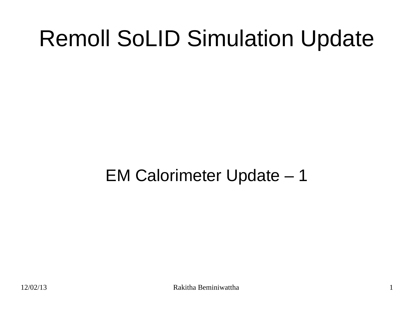# Remoll SoLID Simulation Update

EM Calorimeter Update – 1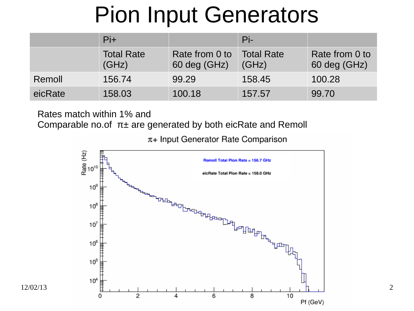## Pion Input Generators

|         | $Pi+$                      |                                | $Pi$ -                     |                                |
|---------|----------------------------|--------------------------------|----------------------------|--------------------------------|
|         | <b>Total Rate</b><br>(GHz) | Rate from 0 to<br>60 deg (GHz) | <b>Total Rate</b><br>(GHz) | Rate from 0 to<br>60 deg (GHz) |
| Remoll  | 156.74                     | 99.29                          | 158.45                     | 100.28                         |
| eicRate | 158.03                     | 100.18                         | 157.57                     | 99.70                          |

Rates match within 1% and

Comparable no.of  $\pi$ ± are generated by both eicRate and Remoll

 $\pi$ + Input Generator Rate Comparison

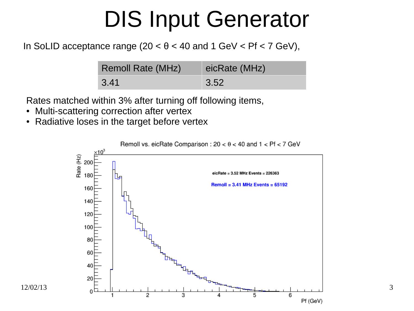## DIS Input Generator

### In SoLID acceptance range  $(20 < \theta < 40$  and  $1 \text{ GeV} <$  Pf  $< 7 \text{ GeV}$ ),

| <b>Remoll Rate (MHz)</b> | eicRate (MHz) |
|--------------------------|---------------|
| 3.41                     | 3.52          |

Rates matched within 3% after turning off following items,

- Multi-scattering correction after vertex
- Radiative loses in the target before vertex

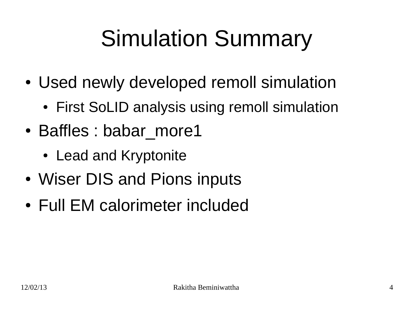# Simulation Summary

- Used newly developed remoll simulation
	- First SoLID analysis using remoll simulation
- Baffles : babar more1
	- Lead and Kryptonite
- Wiser DIS and Pions inputs
- Full EM calorimeter included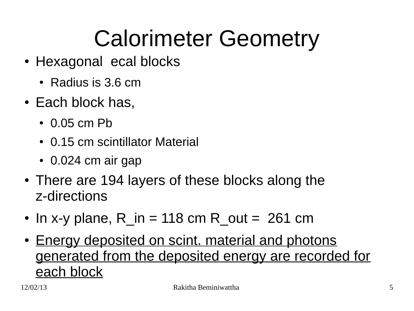# Calorimeter Geometry

- Hexagonal ecal blocks
	- Radius is 3.6 cm
- $\cdot$  Each block has,
	- $\cdot$  0.05 cm Pb
	- 0.15 cm scintillator Material
	- $\cdot$  0.024 cm air gap
- There are 194 layers of these blocks along the z-directions
- In x-y plane, R in = 118 cm R out = 261 cm
- Energy deposited on scint. material and photons generated from the deposited energy are recorded for each block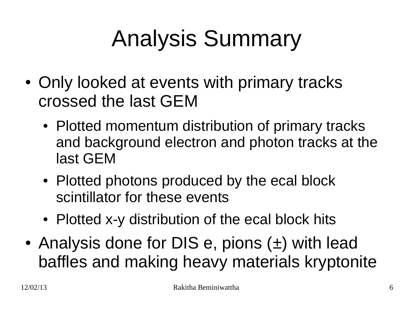# Analysis Summary

- Only looked at events with primary tracks crossed the last GEM
	- Plotted momentum distribution of primary tracks and background electron and photon tracks at the last GEM
	- Plotted photons produced by the ecal block scintillator for these events
	- Plotted x-y distribution of the ecal block hits
- Analysis done for DIS e, pions  $(\pm)$  with lead baffles and making heavy materials kryptonite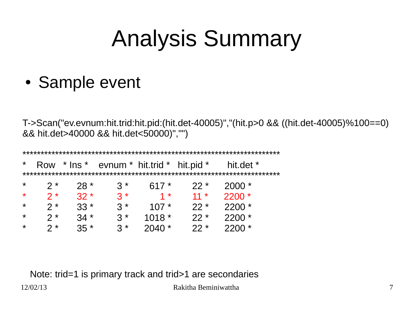# Analysis Summary

• Sample event

T->Scan("ev.evnum:hit.trid:hit.pid:(hit.det-40005)","(hit.p>0 && ((hit.det-40005)%100==0) && hit.det>40000 && hit.det<50000)","")

| $\star$ | Row  | $*$ Ins $*$ | evnum $*$ hit.trid $*$ hit.pid $*$ |         |        | hit.det * |  |  |  |  |  |  |  |
|---------|------|-------------|------------------------------------|---------|--------|-----------|--|--|--|--|--|--|--|
|         |      |             |                                    |         |        |           |  |  |  |  |  |  |  |
| $\star$ | $2*$ | $28*$       | $\mathcal{R}^*$                    | $617*$  | $22*$  | $2000*$   |  |  |  |  |  |  |  |
| $\star$ | $2*$ | $32 *$      | $3 *$                              | $1*$    | $11 *$ | $2200 *$  |  |  |  |  |  |  |  |
| $\star$ | $2*$ | $33*$       | $3*$                               | $107*$  | $22 *$ | $2200*$   |  |  |  |  |  |  |  |
| *       | $2*$ | $34 *$      | $3*$                               | $1018*$ | $22*$  | $2200*$   |  |  |  |  |  |  |  |
| $\star$ | $2*$ | $35 *$      | $3 *$                              | $2040*$ | $22 *$ | $2200 *$  |  |  |  |  |  |  |  |

12/02/13 Rakitha Beminiwattha 7 Note: trid=1 is primary track and trid>1 are secondaries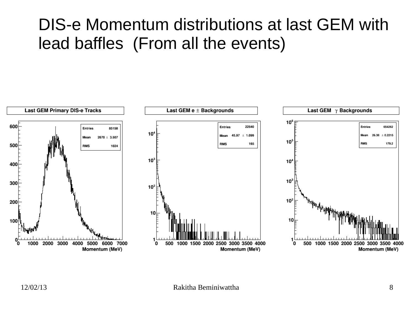### DIS-e Momentum distributions at last GEM with lead baffles (From all the events)

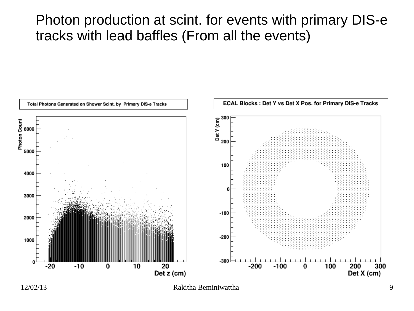### Photon production at scint. for events with primary DIS-e tracks with lead baffles (From all the events)



12/02/13 Rakitha Beminiwattha 9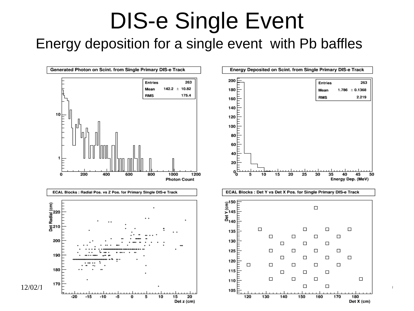### DIS-e Single Event Energy deposition for a single event with Pb baffles

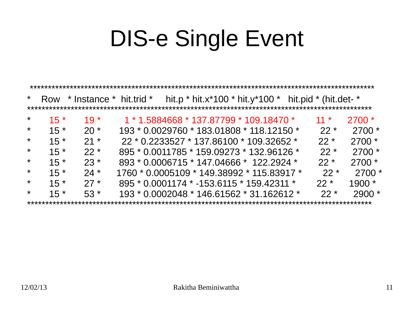| $\star$ |       | Row $*$ Instance $*$ hit.trid $*$ |                                              |                                           |  | hit.p * hit.x*100 * hit.y*100 * hit.pid * (hit.det- * |          |
|---------|-------|-----------------------------------|----------------------------------------------|-------------------------------------------|--|-------------------------------------------------------|----------|
|         |       |                                   |                                              |                                           |  |                                                       |          |
| $\star$ | $15*$ | $19*$                             |                                              | $1 * 1.5884668 * 137.87799 * 109.18470 *$ |  | $11 *$                                                | $2700*$  |
| $\star$ | $15*$ | $20*$                             | 193 * 0.0029760 * 183.01808 * 118.12150 *    |                                           |  | $22 *$                                                | $2700*$  |
| $\star$ | $15*$ | $21 *$                            |                                              | 22 * 0.2233527 * 137.86100 * 109.32652 *  |  | $22 *$                                                | $2700*$  |
| $\star$ | $15*$ | $22 *$                            | 895 * 0.0011785 * 159.09273 * 132.96126 *    |                                           |  | $22 *$                                                | $2700*$  |
| $\star$ | $15*$ | $23*$                             | 893 * 0.0006715 * 147.04666 * 122.2924 *     |                                           |  | $22 *$                                                | $2700*$  |
| $\star$ | $15*$ | $24*$                             | $1760 * 0.0005109 * 149.38992 * 115.83917 *$ |                                           |  | $22*$                                                 | $2700*$  |
| $\star$ | $15*$ | $27*$                             | 895 * 0.0001174 * -153.6115 * 159.42311 *    |                                           |  | $22 *$                                                | $1900*$  |
| $\star$ | $15*$ | $53*$                             | $193 * 0.0002048 * 146.61562 * 31.162612 *$  |                                           |  | $22 *$                                                | $2900 *$ |
|         |       |                                   |                                              |                                           |  |                                                       |          |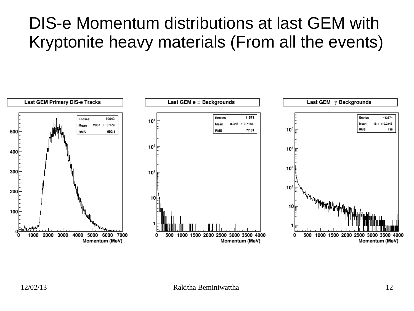### DIS-e Momentum distributions at last GEM with Kryptonite heavy materials (From all the events)

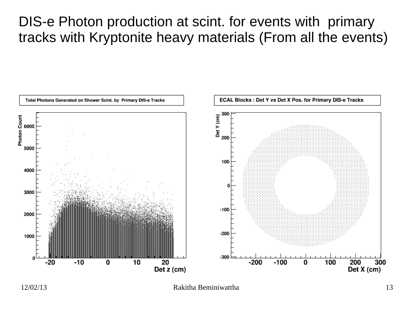### DIS-e Photon production at scint. for events with primary tracks with Kryptonite heavy materials (From all the events)



12/02/13 Rakitha Beminiwattha 13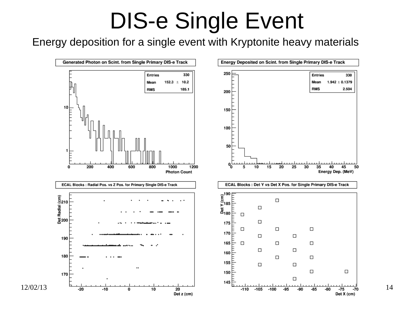Energy deposition for a single event with Kryptonite heavy materials

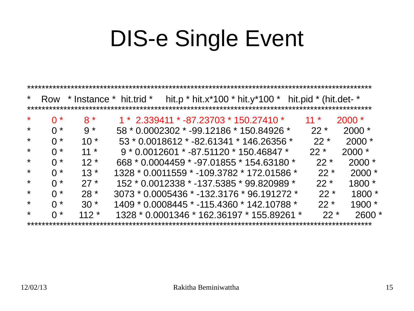| $\star$ |                  | Row $*$ Instance $*$ hit.trid $*$ |                                              |  | hit.p * hit.x*100 * hit.y*100 * hit.pid * (hit.det- * |        |          |
|---------|------------------|-----------------------------------|----------------------------------------------|--|-------------------------------------------------------|--------|----------|
|         |                  |                                   |                                              |  |                                                       |        |          |
| $\star$ | $0*$             | $8*$                              |                                              |  | $1 * 2.339411 * -87.23703 * 150.27410 *$              | $11 *$ | $2000 *$ |
| $\star$ | $0 *$            | $9 *$                             |                                              |  | 58 * 0.0002302 * -99.12186 * 150.84926 *              | $22 *$ | $2000 *$ |
| $\star$ | $0 *$            | $10*$                             |                                              |  | 53 * 0.0018612 * -82.61341 * 146.26356 *              | $22 *$ | $2000 *$ |
| $\star$ | $0 *$            | $11 *$                            |                                              |  | $9 * 0.0012601 * -87.51120 * 150.46847 *$             | $22 *$ | $2000 *$ |
| $\star$ | $\bigcap$ *      | $12*$                             |                                              |  | 668 * 0.0004459 * -97.01855 * 154.63180 *             | $22 *$ | $2000 *$ |
| $\star$ | $\bigcap$ *      | $13*$                             | 1328 * 0.0011559 * -109.3782 * 172.01586 *   |  |                                                       | $22 *$ | $2000 *$ |
| $\star$ | $\bigcap$ *      | $27*$                             |                                              |  | 152 * 0.0012338 * -137.5385 * 99.820989 *             | $22 *$ | $1800*$  |
| $\star$ | $\bigcap$ *      | $28*$                             | $3073 * 0.0005436 * -132.3176 * 96.191272 *$ |  |                                                       | $22 *$ | $1800*$  |
| $\star$ | $\bigcap$ *      | $30 *$                            | 1409 * 0.0008445 * -115.4360 * 142.10788 *   |  |                                                       | $22 *$ | $1900*$  |
| $\star$ | $\Omega$ $\star$ | $112*$                            |                                              |  | 1328 * 0.0001346 * 162.36197 * 155.89261 *            | $22 *$ | $2600*$  |
|         |                  |                                   |                                              |  |                                                       |        |          |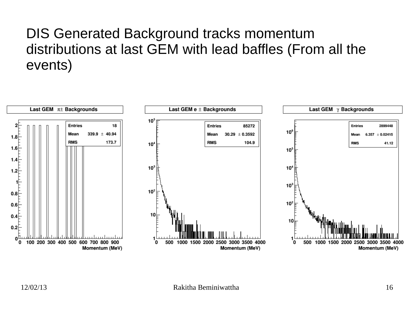### DIS Generated Background tracks momentum distributions at last GEM with lead baffles (From all the events)

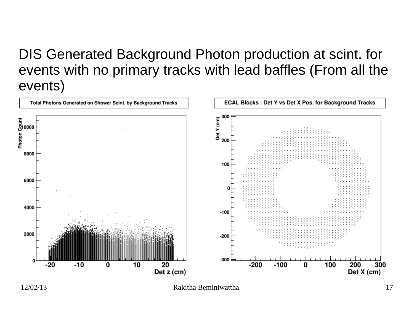### DIS Generated Background Photon production at scint. for events with no primary tracks with lead baffles (From all the events)



12/02/13 Rakitha Beminiwattha 17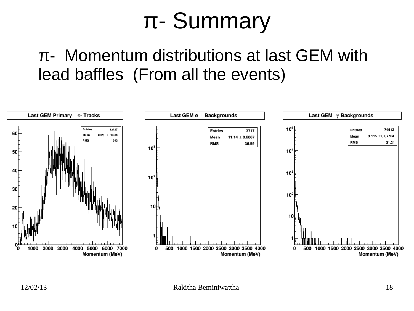## π- Summary

### π- Momentum distributions at last GEM with lead baffles (From all the events)

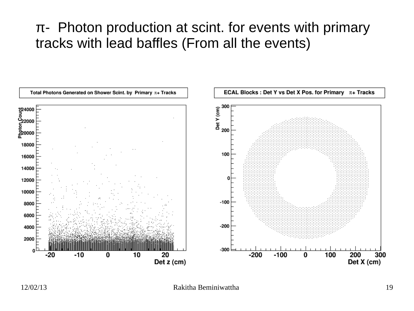### $\pi$ - Photon production at scint. for events with primary tracks with lead baffles (From all the events)

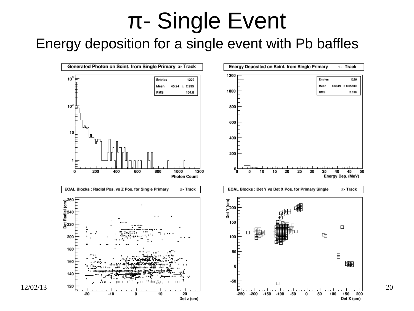### Energy deposition for a single event with Pb baffles

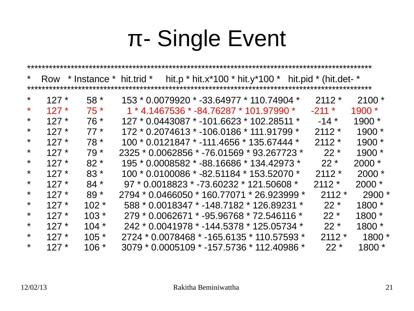| $\star$ |        |         |                                             |                                           |  |  | Row $*$ Instance $*$ hit.trid $*$ hit.p $*$ hit.x $*$ 100 $*$ hit.y $*$ 100 $*$ hit.pid $*$ (hit.det- $*$ |          |
|---------|--------|---------|---------------------------------------------|-------------------------------------------|--|--|-----------------------------------------------------------------------------------------------------------|----------|
|         |        |         |                                             |                                           |  |  |                                                                                                           |          |
| $\star$ | $127*$ | $58*$   | 153 * 0.0079920 * -33.64977 * 110.74904 *   |                                           |  |  | $2112*$                                                                                                   | $2100*$  |
| $\star$ | $127*$ | $75*$   |                                             | $1 * 4.1467536 * -84.76287 * 101.97990 *$ |  |  | $-211$ *                                                                                                  | $1900*$  |
| $\star$ | $127*$ | $76*$   | 127 * 0.0443087 * -101.6623 * 102.28511 *   |                                           |  |  | $-14$ *                                                                                                   | $1900*$  |
| $\star$ | $127*$ | $77*$   | 172 * 0.2074613 * -106.0186 * 111.91799 *   |                                           |  |  | $2112*$                                                                                                   | $1900*$  |
| $\star$ | $127*$ | $78*$   | 100 * 0.0121847 * -111.4656 * 135.67444 *   |                                           |  |  | $2112*$                                                                                                   | $1900*$  |
| $\star$ | $127*$ | $79*$   | 2325 * 0.0062856 * -76.01569 * 93.267723 *  |                                           |  |  | $22*$                                                                                                     | $1900*$  |
| $\star$ | $127*$ | $82 *$  | 195 * 0.0008582 * -88.16686 * 134.42973 *   |                                           |  |  | $22 *$                                                                                                    | $2000 *$ |
| $\star$ | $127*$ | $83*$   | $100 * 0.0100086 * -82.51184 * 153.52070 *$ |                                           |  |  | $2112*$                                                                                                   | $2000 *$ |
| $\star$ | $127*$ | $84*$   | $97 * 0.0018823 * -73.60232 * 121.50608 *$  |                                           |  |  | $2112*$                                                                                                   | $2000 *$ |
| $\star$ | $127*$ | $89*$   | 2794 * 0.0466050 * 160.77071 * 26.923999 *  |                                           |  |  | $2112*$                                                                                                   | $2900*$  |
| $\star$ | $127*$ | $102 *$ | 588 * 0.0018347 * -148.7182 * 126.89231 *   |                                           |  |  | $22 *$                                                                                                    | $1800*$  |
| $\star$ | $127*$ | $103 *$ | 279 * 0.0062671 * -95.96768 * 72.546116 *   |                                           |  |  | $22 *$                                                                                                    | 1800 *   |
| $\star$ | $127*$ | $104 *$ | 242 * 0.0041978 * -144.5378 * 125.05734 *   |                                           |  |  | $22 *$                                                                                                    | $1800*$  |
| $\star$ | $127*$ | $105 *$ | 2724 * 0.0078468 * -165.6135 * 110.57593 *  |                                           |  |  | $2112*$                                                                                                   | $1800*$  |
| $\star$ | $127*$ | $106 *$ | 3079 * 0.0005109 * -157.5736 * 112.40986 *  |                                           |  |  | $22 *$                                                                                                    | $1800*$  |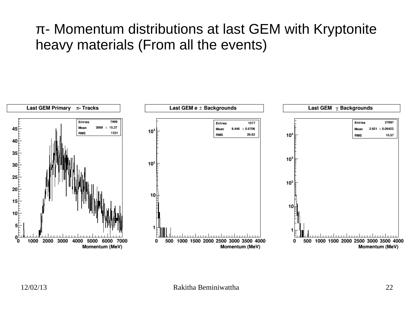### π- Momentum distributions at last GEM with Kryptonite heavy materials (From all the events)

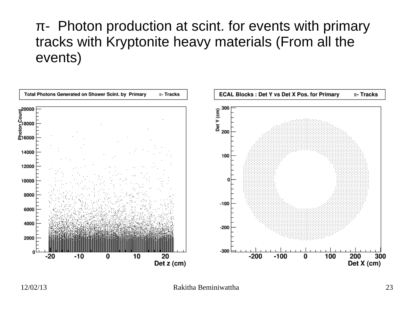### $\pi$ - Photon production at scint. for events with primary tracks with Kryptonite heavy materials (From all the events)



12/02/13 Rakitha Beminiwattha 23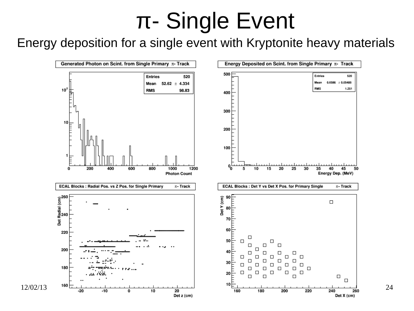### Energy deposition for a single event with Kryptonite heavy materials

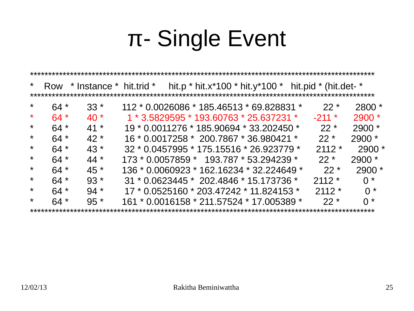| $\star$ |       | Row $*$ Instance $*$ hit.trid $*$ |                                             | hit.p * hit.x*100 * hit.y*100 * hit.pid * (hit.det- * |  |          |                    |
|---------|-------|-----------------------------------|---------------------------------------------|-------------------------------------------------------|--|----------|--------------------|
|         |       |                                   |                                             |                                                       |  |          |                    |
| $\star$ | $64*$ | $33*$                             | 112 * 0.0026086 * 185.46513 * 69.828831 *   |                                                       |  | $22 *$   | $2800*$            |
| $\star$ | $64*$ | $40*$                             | $1 * 3.5829595 * 193.60763 * 25.637231 *$   |                                                       |  | $-211$ * | $2900*$            |
| $\star$ | $64*$ | $41*$                             | 19 * 0.0011276 * 185.90694 * 33.202450 *    |                                                       |  | $22 *$   | $2900*$            |
| $\star$ | $64*$ | $42*$                             | 16 * 0.0017258 * 200.7867 * 36.980421 *     |                                                       |  | $22 *$   | $2900*$            |
| $\star$ | $64*$ | $43*$                             | 32 * 0.0457995 * 175.15516 * 26.923779 *    |                                                       |  | $2112*$  | $2900*$            |
| $\star$ | $64*$ | $44*$                             | $173 * 0.0057859 * 193.787 * 53.294239 *$   |                                                       |  | $22*$    | $2900*$            |
| $\star$ | $64*$ | $45*$                             | $136 * 0.0060923 * 162.16234 * 32.224649 *$ |                                                       |  | $22*$    | $2900*$            |
| $\star$ | $64*$ | $93*$                             | 31 * 0.0623445 * 202.4846 * 15.173736 *     |                                                       |  | $2112*$  | $0^*$              |
| $\star$ | $64*$ | $94*$                             | 17 * 0.0525160 * 203.47242 * 11.824153 *    |                                                       |  | $2112*$  | $0 *$              |
| $\star$ | $64*$ | $95*$                             | 161 * 0.0016158 * 211.57524 * 17.005389 *   |                                                       |  | $22 *$   | $\mathsf{O} \star$ |
|         |       |                                   |                                             |                                                       |  |          |                    |

\*\*\*\*\*\*\*\*\*\*\*\*\*\*\*\*\*\*\*\*\*\*\*\*\*\*\*\*\*\*\*\*\*\*\*\*\*\*\*\*\*\*\*\*\*\*\*\*\*\*\*\*\*\*\*\*\*\*\*\*\*\*\*\*\*\*\*\*\*\*\*\*\*\*\*\*\*\*\*\*\*\*\*\*\*\*\*\*\*\*\*\*\*\*\*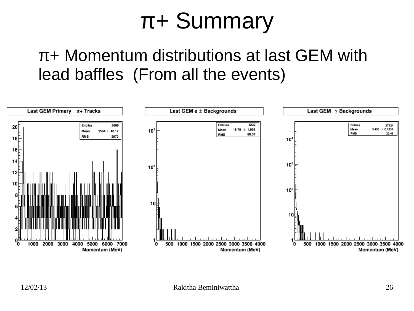### π+ Summary

### π+ Momentum distributions at last GEM with lead baffles (From all the events)

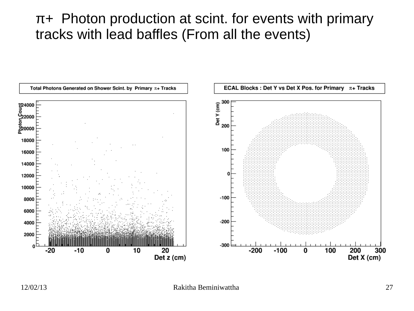### π+ Photon production at scint. for events with primary tracks with lead baffles (From all the events)

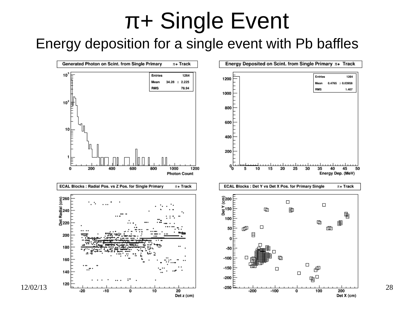### Energy deposition for a single event with Pb baffles

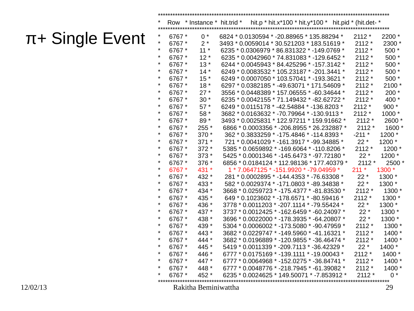|          | $\star$  | 6767 * | $11*$                | 6235 * 0.0306979 * 86.831322 * -149.0769 * | $2112*$ | $500*$  |
|----------|----------|--------|----------------------|--------------------------------------------|---------|---------|
|          | $^\star$ | 6767 * | $12*$                | 6235 * 0.0042960 * 74.831083 * -129.6452 * | $2112*$ | $500*$  |
|          | $^\star$ | 6767 * | $13*$                | 6244 * 0.0045943 * 84.425296 * -157.3142 * | $2112*$ | $500*$  |
|          | $^\star$ | 6767 * | $14*$                | 6249 * 0.0083532 * 105.23187 * -201.3441 * | $2112*$ | 500 *   |
|          | $^\star$ | 6767 * | $15*$                | 6249 * 0.0007050 * 103.57041 * -193.3621 * | $2112*$ | 500 *   |
|          | $^\star$ | 6767 * | $18*$                | 6297 * 0.0382185 * -49.63071 * 171.54609 * | $2112*$ | 2100 *  |
|          | $\ast$   | 6767 * | $27*$                | 3556 * 0.0448389 * 157.06555 * -60.34644 * | $2112*$ | $200*$  |
|          | $^\star$ | 6767 * | $30*$                | 6235 * 0.0042155 * 71.149432 * -82.62722 * | $2112*$ | 400 *   |
|          | $^\star$ | 6767 * | $57*$                | 6249 * 0.0115178 * -42.54884 * -136.8203 * | $2112*$ | 900 $*$ |
|          | $^\star$ | 6767 * | 58 *                 | 3682 * 0.0163632 * -70.79964 * -130.9113 * | $2112*$ | 1000 *  |
|          | $^\star$ | 6767 * | $89*$                | 3493 * 0.0025831 * 122.97211 * 159.91662 * | $2112*$ | 2600 *  |
|          | $^\star$ | 6767 * | $255*$               | 6866 * 0.0003356 * -206.8955 * 26.232887 * | $2112*$ | 1600 *  |
|          | $\ast$   | 6767 * | $370*$               | 362 * 0.3833259 * -175.4846 * -114.8393 *  | $-211*$ | 1200 *  |
|          | $\ast$   | 6767 * | $371*$               | 721 * 0.0041029 * -161.3917 * -99.34885 *  | $22*$   | 1200 *  |
|          | $^\star$ | 6767 * | $372*$               | 5385 * 0.0659892 * -169.6064 * -110.8206 * | $2112*$ | 1200 *  |
|          | $^\star$ | 6767 * | $373*$               | 5425 * 0.0001346 * -145.6473 * -97.72180 * | $22*$   | 1200 *  |
|          | $^\star$ | 6767 * | $376*$               | 6856 * 0.0184124 * 112.98136 * 177.40379 * | $2112*$ | 2500 *  |
|          | $\ast$   | 6767 * | 431 *                | 1 * 7.0647125 * -151.9920 * -79.04959 *    | $211 *$ | 1300 *  |
|          | $\star$  | 6767 * | 432 *                | 281 * 0.0002895 * -144.4353 * -76.63308 *  | $22*$   | 1300 *  |
|          | $\ast$   | 6767 * | 433 *                | 582 * 0.0029374 * -171.0803 * -89.34838 *  | $22*$   | 1300 *  |
|          | $^\star$ | 6767 * | 434 *                | 3668 * 0.0259723 * -175.4377 * -81.83530 * | $2112*$ | 1300 *  |
|          | $^\star$ | 6767 * | 435 *                | 649 * 0.1023602 * -178.6571 * -80.59416 *  | $2112*$ | 1300 *  |
|          | $^\star$ | 6767 * | 436 *                | 3778 * 0.0011203 * -207.1114 * -79.55424 * | $22*$   | 1300 *  |
|          | $^\star$ | 6767 * | 437 *                | 3737 * 0.0012425 * -162.6459 * -60.24097 * | $22*$   | 1300 *  |
|          | $^\star$ | 6767 * | 438 *                | 3696 * 0.0022000 * -178.3935 * -64.20807 * | $22*$   | 1300 *  |
|          | $\ast$   | 6767 * | 439 *                | 5304 * 0.0006002 * -173.5080 * -90.47959 * | $2112*$ | 1300 *  |
|          | $^\star$ | 6767 * | 443 *                | 3682 * 0.0229747 * -149.5960 * -41.16321 * | $2112*$ | 1400 *  |
|          | $^\star$ | 6767 * | $444*$               | 3682 * 0.0196889 * -120.9855 * -36.46474 * | $2112*$ | 1400 *  |
|          | $^\star$ | 6767 * | 445 *                | 5419 * 0.0011339 * -209.7113 * -36.42329 * | $22*$   | 1400 *  |
|          | $^\star$ | 6767 * | 446 *                | 6777 * 0.0175169 * -139.1111 * -19.00043 * | $2112*$ | 1400 *  |
|          | $^\star$ | 6767 * | 447 *                | 6777 * 0.0064968 * -152.0275 * -36.84741 * | $2112*$ | 1400 *  |
|          | $\ast$   | 6767 * | 448 *                | 6777 * 0.0048776 * -218.7945 * -61.39082 * | $2112*$ | 1400 *  |
|          | $\star$  | 6767 * | $452 *$              | 6235 * 0.0024625 * 149.50071 * -7.853912 * | $2112*$ | $0 *$   |
| 12/02/13 |          |        | Rakitha Beminiwattha |                                            |         | 29      |
|          |          |        |                      |                                            |         |         |

\*\*\*\*\*\*\*\*\*\*\*\*\*\*\*\*\*\*\*\*\*\*\*\*\*\*\*\*\*\*\*\*\*\*\*\*\*\*\*\*\*\*\*\*\*\*\*\*\*\*\*\*\*\*\*\*\*\*\*\*\*\*\*\*\*\*\*\*\*\*\*\*\*\*\*\*\*\*\*\*\*\*\*\*\*\*\*\*\*\*\*\*\*\*\* Row  $*$  Instance  $*$  hit.trid  $*$  hit.p  $*$  hit.x $*$ 100  $*$  hit.y $*$ 100  $*$  hit.pid  $*$  (hit.det- $*$ 

\*\*\*\*\*\*\*\*\*\*\*\*\*\*\*\*\*\*\*\*\*\*\*\*\*\*\*\*\*\*\*\*\*\*\*\*\*\*\*\*\*\*\*\*\*\*\*\*\*\*\*\*\*\*\*\*\*\*\*\*\*\*\*\*\*\*\*\*\*\*\*\*\*\*\*\*\*\*\*\*\*\*\*\*\*\*\*\*\*\*\*\*\*\*\* \* 6767 \* 0 \* 6824 \* 0.0130594 \* -20.88965 \* 135.88294 \* 2112 \* 2200 \*<br>\* 6767 \* 2 \* 3493 \* 0.0059014 \* 30.521203 \* 183.51619 \* 2112 \* 2300 \*  $6767 *$  2 \* 3493 \* 0.0059014 \* 30.521203 \* 183.51619 \* 2112 \* 2312 \* 2313 \* 2313 \* 2313 \*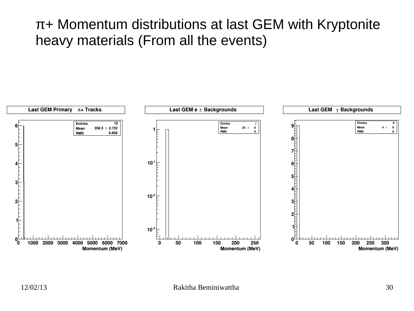### π+ Momentum distributions at last GEM with Kryptonite heavy materials (From all the events)

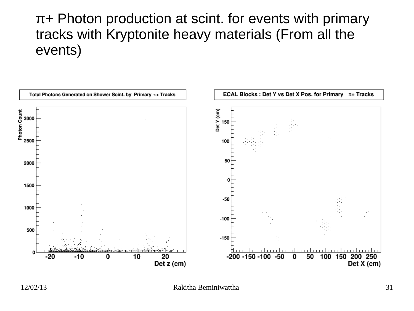### π+ Photon production at scint. for events with primary tracks with Kryptonite heavy materials (From all the events)

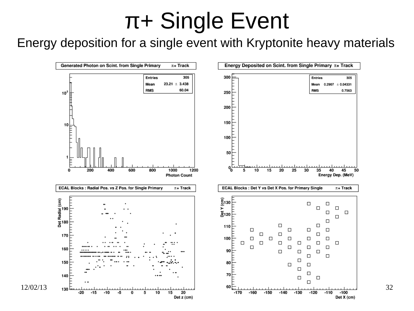### Energy deposition for a single event with Kryptonite heavy materials

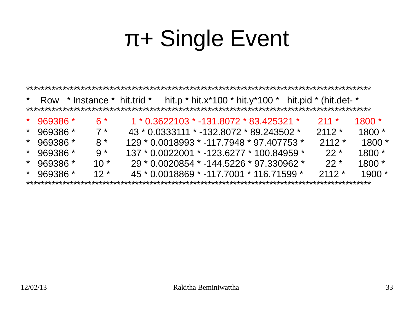| $\star$ | Row            |  | $*$ Instance $*$ hit.trid $*$ |                                             |  |  |  |  |  | hit.p * hit.x*100 * hit.y*100 * hit.pid * (hit.det- * |         |          |
|---------|----------------|--|-------------------------------|---------------------------------------------|--|--|--|--|--|-------------------------------------------------------|---------|----------|
|         |                |  |                               |                                             |  |  |  |  |  |                                                       |         |          |
|         | $*$ 969386 $*$ |  | $6*$                          | $1 * 0.3622103 * -131.8072 * 83.425321 *$   |  |  |  |  |  |                                                       | $211 *$ | $1800 *$ |
| $\star$ | 969386 *       |  | $7*$                          | 43 * 0.0333111 * -132.8072 * 89.243502 *    |  |  |  |  |  |                                                       | $2112*$ | $1800*$  |
|         | $*$ 969386 $*$ |  | $8*$                          | $129 * 0.0018993 * -117.7948 * 97.407753 *$ |  |  |  |  |  |                                                       | $2112*$ | $1800*$  |
|         | $*$ 969386 $*$ |  | $9 *$                         | $137 * 0.0022001 * -123.6277 * 100.84959 *$ |  |  |  |  |  |                                                       | $22*$   | $1800*$  |
|         | $*$ 969386 $*$ |  | $10*$                         |                                             |  |  |  |  |  | $29 * 0.0020854 * -144.5226 * 97.330962 *$            | $22*$   | $1800*$  |
|         | $*$ 969386 $*$ |  | $12*$                         |                                             |  |  |  |  |  | $45 * 0.0018869 * -117.7001 * 116.71599 *$            | $2112*$ | $1900*$  |
|         |                |  |                               |                                             |  |  |  |  |  |                                                       |         |          |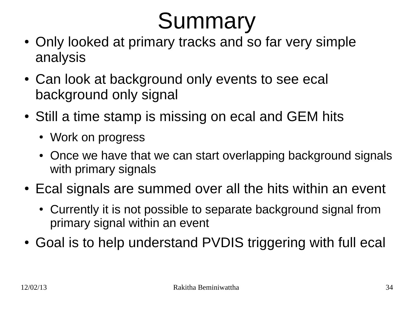# **Summary**

- Only looked at primary tracks and so far very simple analysis
- Can look at background only events to see ecal background only signal
- Still a time stamp is missing on ecal and GEM hits
	- Work on progress
	- Once we have that we can start overlapping background signals with primary signals
- Ecal signals are summed over all the hits within an event
	- Currently it is not possible to separate background signal from primary signal within an event
- Goal is to help understand PVDIS triggering with full ecal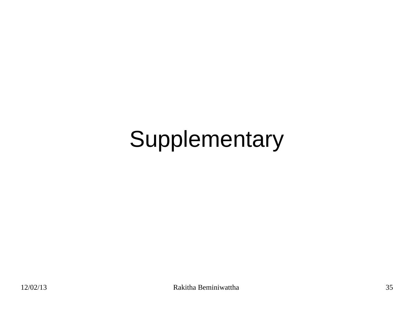# Supplementary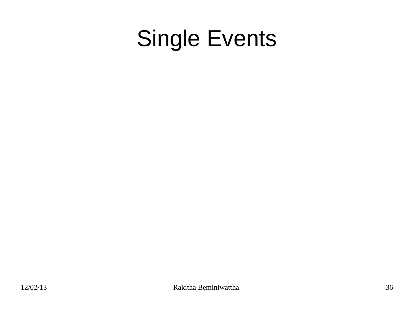## Single Events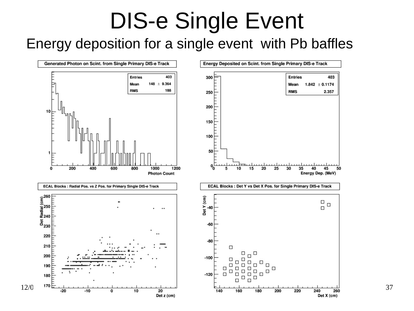Energy deposition for a single event with Pb baffles

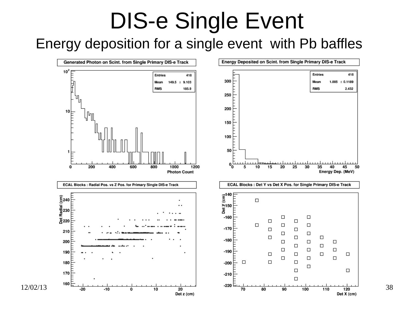### Energy deposition for a single event with Pb baffles

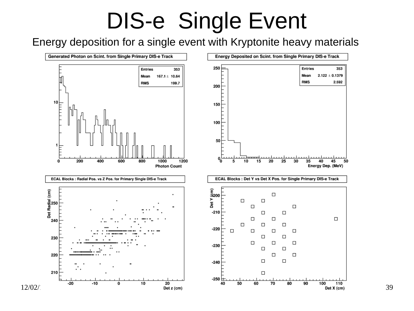### Energy deposition for a single event with Kryptonite heavy materials

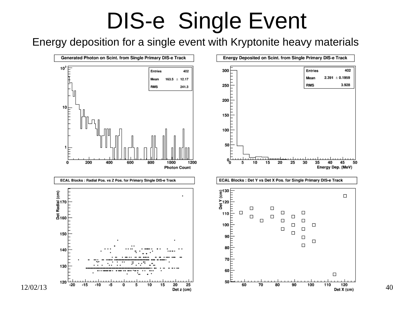Energy deposition for a single event with Kryptonite heavy materials

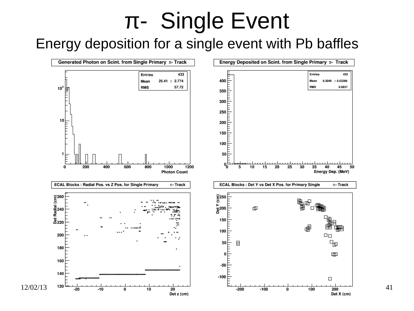### Energy deposition for a single event with Pb baffles

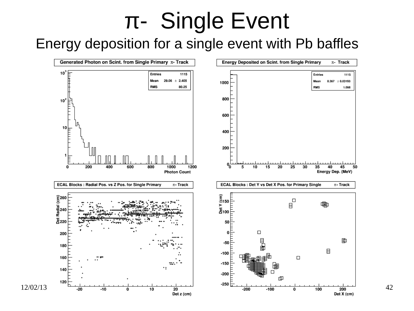### Energy deposition for a single event with Pb baffles

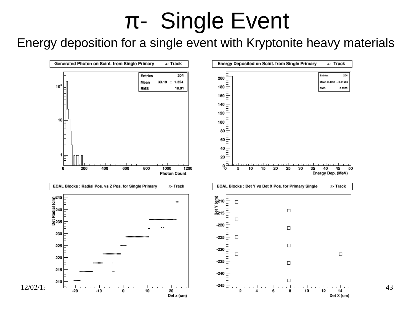Energy deposition for a single event with Kryptonite heavy materials

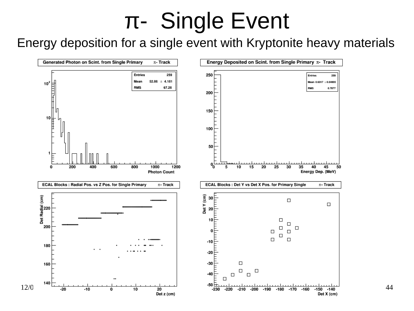Energy deposition for a single event with Kryptonite heavy materials

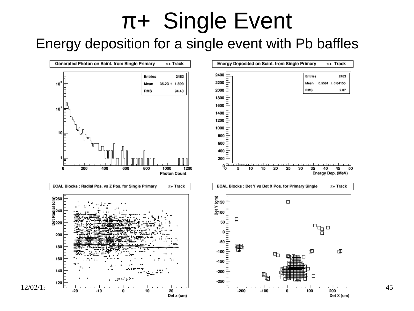### Energy deposition for a single event with Pb baffles

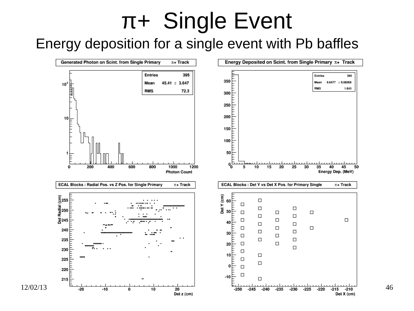### Energy deposition for a single event with Pb baffles

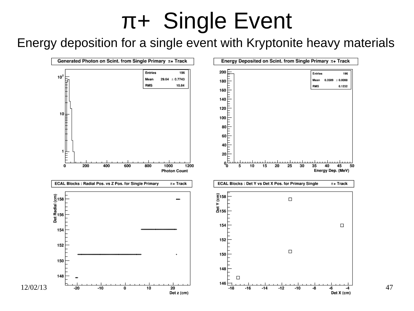### Energy deposition for a single event with Kryptonite heavy materials